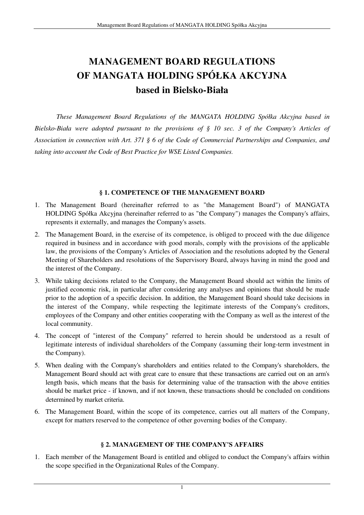# **MANAGEMENT BOARD REGULATIONS OF MANGATA HOLDING SPÓŁKA AKCYJNA based in Bielsko-Biała**

*These Management Board Regulations of the MANGATA HOLDING Spółka Akcyjna based in Bielsko-Biała were adopted pursuant to the provisions of § 10 sec. 3 of the Company's Articles of Association in connection with Art. 371 § 6 of the Code of Commercial Partnerships and Companies, and taking into account the Code of Best Practice for WSE Listed Companies.* 

## **§ 1. COMPETENCE OF THE MANAGEMENT BOARD**

- 1. The Management Board (hereinafter referred to as "the Management Board") of MANGATA HOLDING Spółka Akcyjna (hereinafter referred to as "the Company") manages the Company's affairs, represents it externally, and manages the Company's assets.
- 2. The Management Board, in the exercise of its competence, is obliged to proceed with the due diligence required in business and in accordance with good morals, comply with the provisions of the applicable law, the provisions of the Company's Articles of Association and the resolutions adopted by the General Meeting of Shareholders and resolutions of the Supervisory Board, always having in mind the good and the interest of the Company.
- 3. While taking decisions related to the Company, the Management Board should act within the limits of justified economic risk, in particular after considering any analyses and opinions that should be made prior to the adoption of a specific decision. In addition, the Management Board should take decisions in the interest of the Company, while respecting the legitimate interests of the Company's creditors, employees of the Company and other entities cooperating with the Company as well as the interest of the local community.
- 4. The concept of "interest of the Company" referred to herein should be understood as a result of legitimate interests of individual shareholders of the Company (assuming their long-term investment in the Company).
- 5. When dealing with the Company's shareholders and entities related to the Company's shareholders, the Management Board should act with great care to ensure that these transactions are carried out on an arm's length basis, which means that the basis for determining value of the transaction with the above entities should be market price - if known, and if not known, these transactions should be concluded on conditions determined by market criteria.
- 6. The Management Board, within the scope of its competence, carries out all matters of the Company, except for matters reserved to the competence of other governing bodies of the Company.

# **§ 2. MANAGEMENT OF THE COMPANY'S AFFAIRS**

1. Each member of the Management Board is entitled and obliged to conduct the Company's affairs within the scope specified in the Organizational Rules of the Company.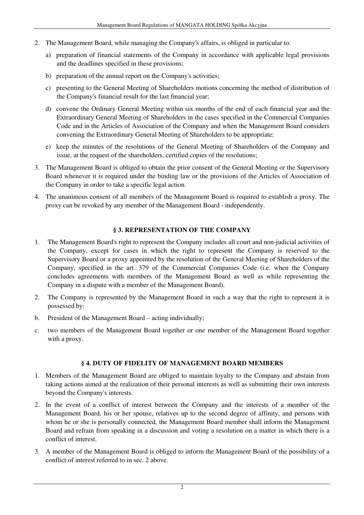- 2. The Management Board, while managing the Company's affairs, is obliged in particular to:
	- a) preparation of financial statements of the Company in accordance with applicable legal provisions and the deadlines specified in these provisions;
	- b) preparation of the annual report on the Company's activities;
	- c) presenting to the General Meeting of Shareholders motions concerning the method of distribution of the Company's financial result for the last financial year;
	- d) convene the Ordinary General Meeting within six months of the end of each financial year and the Extraordinary General Meeting of Shareholders in the cases specified in the Commercial Companies Code and in the Articles of Association of the Company and when the Management Board considers convening the Extraordinary General Meeting of Shareholders to be appropriate;
	- e) keep the minutes of the resolutions of the General Meeting of Shareholders of the Company and issue, at the request of the shareholders, certified copies of the resolutions;
- 3. The Management Board is obliged to obtain the prior consent of the General Meeting or the Supervisory Board whenever it is required under the binding law or the provisions of the Articles of Association of the Company in order to take a specific legal action.
- 4. The unanimous consent of all members of the Management Board is required to establish a proxy. The proxy can be revoked by any member of the Management Board - independently.

## **§ 3. REPRESENTATION OF THE COMPANY**

- 1. The Management Board's right to represent the Company includes all court and non-judicial activities of the Company, except for cases in which the right to represent the Company is reserved to the Supervisory Board or a proxy appointed by the resolution of the General Meeting of Shareholders of the Company, specified in the art. 379 of the Commercial Companies Code (i.e. when the Company concludes agreements with members of the Management Board as well as while representing the Company in a dispute with a member of the Management Board).
- 2. The Company is represented by the Management Board in such a way that the right to represent it is possessed by:
- b. President of the Management Board acting individually;
- c. two members of the Management Board together or one member of the Management Board together with a proxy.

## **§ 4. DUTY OF FIDELITY OF MANAGEMENT BOARD MEMBERS**

- 1. Members of the Management Board are obliged to maintain loyalty to the Company and abstain from taking actions aimed at the realization of their personal interests as well as submitting their own interests beyond the Company's interests.
- 2. In the event of a conflict of interest between the Company and the interests of a member of the Management Board, his or her spouse, relatives up to the second degree of affinity, and persons with whom he or she is personally connected, the Management Board member shall inform the Management Board and refrain from speaking in a discussion and voting a resolution on a matter in which there is a conflict of interest.
- 3. A member of the Management Board is obliged to inform the Management Board of the possibility of a conflict of interest referred to in sec. 2 above.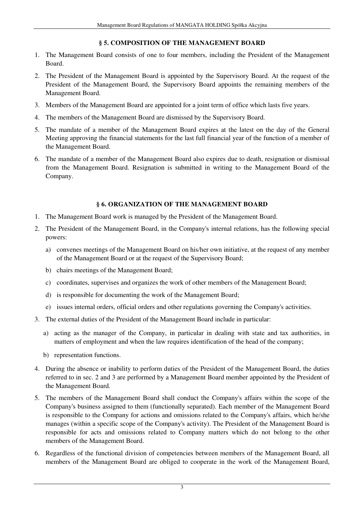## **§ 5. COMPOSITION OF THE MANAGEMENT BOARD**

- 1. The Management Board consists of one to four members, including the President of the Management Board.
- 2. The President of the Management Board is appointed by the Supervisory Board. At the request of the President of the Management Board, the Supervisory Board appoints the remaining members of the Management Board.
- 3. Members of the Management Board are appointed for a joint term of office which lasts five years.
- 4. The members of the Management Board are dismissed by the Supervisory Board.
- 5. The mandate of a member of the Management Board expires at the latest on the day of the General Meeting approving the financial statements for the last full financial year of the function of a member of the Management Board.
- 6. The mandate of a member of the Management Board also expires due to death, resignation or dismissal from the Management Board. Resignation is submitted in writing to the Management Board of the Company.

## **§ 6. ORGANIZATION OF THE MANAGEMENT BOARD**

- 1. The Management Board work is managed by the President of the Management Board.
- 2. The President of the Management Board, in the Company's internal relations, has the following special powers:
	- a) convenes meetings of the Management Board on his/her own initiative, at the request of any member of the Management Board or at the request of the Supervisory Board;
	- b) chairs meetings of the Management Board;
	- c) coordinates, supervises and organizes the work of other members of the Management Board;
	- d) is responsible for documenting the work of the Management Board;
	- e) issues internal orders, official orders and other regulations governing the Company's activities.
- 3. The external duties of the President of the Management Board include in particular:
	- a) acting as the manager of the Company, in particular in dealing with state and tax authorities, in matters of employment and when the law requires identification of the head of the company;
	- b) representation functions.
- 4. During the absence or inability to perform duties of the President of the Management Board, the duties referred to in sec. 2 and 3 are performed by a Management Board member appointed by the President of the Management Board.
- 5. The members of the Management Board shall conduct the Company's affairs within the scope of the Company's business assigned to them (functionally separated). Each member of the Management Board is responsible to the Company for actions and omissions related to the Company's affairs, which he/she manages (within a specific scope of the Company's activity). The President of the Management Board is responsible for acts and omissions related to Company matters which do not belong to the other members of the Management Board.
- 6. Regardless of the functional division of competencies between members of the Management Board, all members of the Management Board are obliged to cooperate in the work of the Management Board,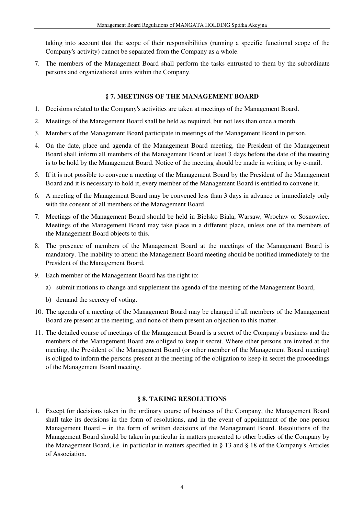taking into account that the scope of their responsibilities (running a specific functional scope of the Company's activity) cannot be separated from the Company as a whole.

7. The members of the Management Board shall perform the tasks entrusted to them by the subordinate persons and organizational units within the Company.

## **§ 7. MEETINGS OF THE MANAGEMENT BOARD**

- 1. Decisions related to the Company's activities are taken at meetings of the Management Board.
- 2. Meetings of the Management Board shall be held as required, but not less than once a month.
- 3. Members of the Management Board participate in meetings of the Management Board in person.
- 4. On the date, place and agenda of the Management Board meeting, the President of the Management Board shall inform all members of the Management Board at least 3 days before the date of the meeting is to be hold by the Management Board. Notice of the meeting should be made in writing or by e-mail.
- 5. If it is not possible to convene a meeting of the Management Board by the President of the Management Board and it is necessary to hold it, every member of the Management Board is entitled to convene it.
- 6. A meeting of the Management Board may be convened less than 3 days in advance or immediately only with the consent of all members of the Management Board.
- 7. Meetings of the Management Board should be held in Bielsko Biala, Warsaw, Wrocław or Sosnowiec. Meetings of the Management Board may take place in a different place, unless one of the members of the Management Board objects to this.
- 8. The presence of members of the Management Board at the meetings of the Management Board is mandatory. The inability to attend the Management Board meeting should be notified immediately to the President of the Management Board.
- 9. Each member of the Management Board has the right to:
	- a) submit motions to change and supplement the agenda of the meeting of the Management Board,
	- b) demand the secrecy of voting.
- 10. The agenda of a meeting of the Management Board may be changed if all members of the Management Board are present at the meeting, and none of them present an objection to this matter.
- 11. The detailed course of meetings of the Management Board is a secret of the Company's business and the members of the Management Board are obliged to keep it secret. Where other persons are invited at the meeting, the President of the Management Board (or other member of the Management Board meeting) is obliged to inform the persons present at the meeting of the obligation to keep in secret the proceedings of the Management Board meeting.

## **§ 8. TAKING RESOLUTIONS**

1. Except for decisions taken in the ordinary course of business of the Company, the Management Board shall take its decisions in the form of resolutions, and in the event of appointment of the one-person Management Board – in the form of written decisions of the Management Board. Resolutions of the Management Board should be taken in particular in matters presented to other bodies of the Company by the Management Board, i.e. in particular in matters specified in § 13 and § 18 of the Company's Articles of Association.